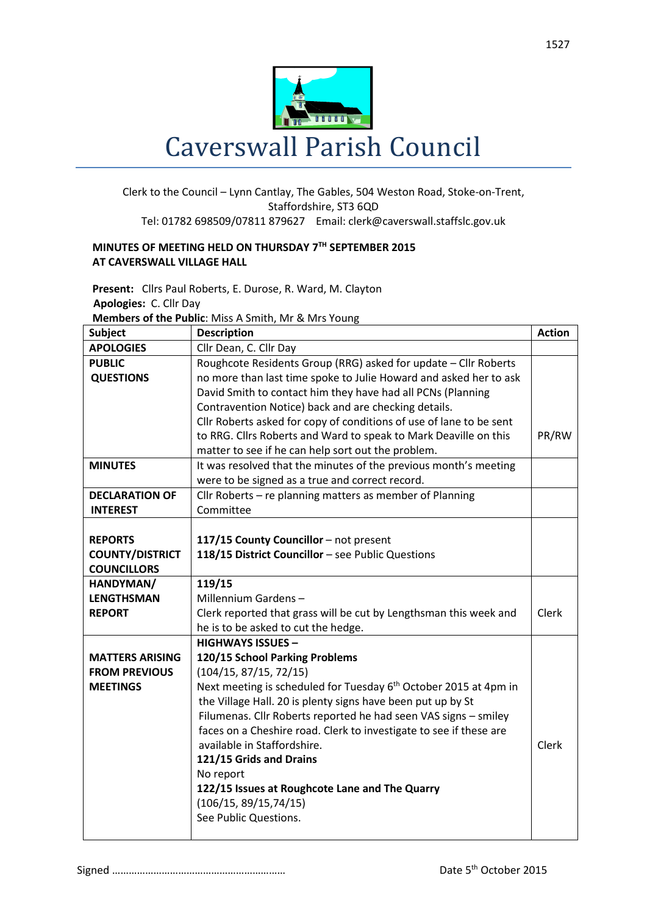

## Clerk to the Council – Lynn Cantlay, The Gables, 504 Weston Road, Stoke-on-Trent, Staffordshire, ST3 6QD Tel: 01782 698509/07811 879627 Email: clerk@caverswall.staffslc.gov.uk

## **MINUTES OF MEETING HELD ON THURSDAY 7 TH SEPTEMBER 2015 AT CAVERSWALL VILLAGE HALL**

**Present:** Cllrs Paul Roberts, E. Durose, R. Ward, M. Clayton  **Apologies:** C. Cllr Day **Members of the Public**: Miss A Smith, Mr & Mrs Young

| <b>Subject</b>         | <b>Description</b>                                                           | <b>Action</b> |
|------------------------|------------------------------------------------------------------------------|---------------|
| <b>APOLOGIES</b>       | Cllr Dean, C. Cllr Day                                                       |               |
| <b>PUBLIC</b>          | Roughcote Residents Group (RRG) asked for update - Cllr Roberts              |               |
| <b>QUESTIONS</b>       | no more than last time spoke to Julie Howard and asked her to ask            |               |
|                        | David Smith to contact him they have had all PCNs (Planning                  |               |
|                        | Contravention Notice) back and are checking details.                         |               |
|                        | Cllr Roberts asked for copy of conditions of use of lane to be sent          |               |
|                        | to RRG. Cllrs Roberts and Ward to speak to Mark Deaville on this             | PR/RW         |
|                        | matter to see if he can help sort out the problem.                           |               |
| <b>MINUTES</b>         | It was resolved that the minutes of the previous month's meeting             |               |
|                        | were to be signed as a true and correct record.                              |               |
| <b>DECLARATION OF</b>  | Cllr Roberts - re planning matters as member of Planning                     |               |
| <b>INTEREST</b>        | Committee                                                                    |               |
|                        |                                                                              |               |
| <b>REPORTS</b>         | 117/15 County Councillor - not present                                       |               |
| <b>COUNTY/DISTRICT</b> | 118/15 District Councillor - see Public Questions                            |               |
| <b>COUNCILLORS</b>     |                                                                              |               |
| HANDYMAN/              | 119/15                                                                       |               |
| <b>LENGTHSMAN</b>      | Millennium Gardens-                                                          |               |
| <b>REPORT</b>          | Clerk reported that grass will be cut by Lengthsman this week and            | Clerk         |
|                        | he is to be asked to cut the hedge.                                          |               |
|                        | <b>HIGHWAYS ISSUES -</b>                                                     |               |
| <b>MATTERS ARISING</b> | 120/15 School Parking Problems                                               |               |
| <b>FROM PREVIOUS</b>   | (104/15, 87/15, 72/15)                                                       |               |
| <b>MEETINGS</b>        | Next meeting is scheduled for Tuesday 6 <sup>th</sup> October 2015 at 4pm in |               |
|                        | the Village Hall. 20 is plenty signs have been put up by St                  |               |
|                        | Filumenas. Cllr Roberts reported he had seen VAS signs - smiley              |               |
|                        | faces on a Cheshire road. Clerk to investigate to see if these are           |               |
|                        | available in Staffordshire.                                                  | Clerk         |
|                        | 121/15 Grids and Drains                                                      |               |
|                        | No report                                                                    |               |
|                        | 122/15 Issues at Roughcote Lane and The Quarry                               |               |
|                        | (106/15, 89/15, 74/15)                                                       |               |
|                        | See Public Questions.                                                        |               |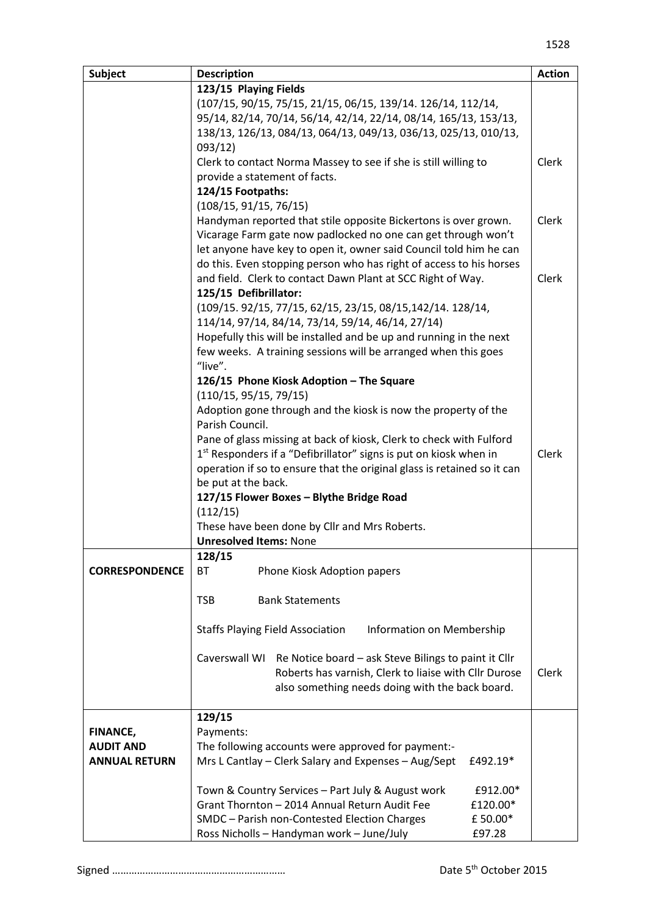| <b>Subject</b>        | <b>Description</b>                                                                | <b>Action</b> |
|-----------------------|-----------------------------------------------------------------------------------|---------------|
|                       | 123/15 Playing Fields                                                             |               |
|                       | (107/15, 90/15, 75/15, 21/15, 06/15, 139/14. 126/14, 112/14,                      |               |
|                       | 95/14, 82/14, 70/14, 56/14, 42/14, 22/14, 08/14, 165/13, 153/13,                  |               |
|                       | 138/13, 126/13, 084/13, 064/13, 049/13, 036/13, 025/13, 010/13,                   |               |
|                       | 093/12)                                                                           |               |
|                       | Clerk to contact Norma Massey to see if she is still willing to                   | Clerk         |
|                       | provide a statement of facts.                                                     |               |
|                       | 124/15 Footpaths:                                                                 |               |
|                       | (108/15, 91/15, 76/15)                                                            |               |
|                       | Handyman reported that stile opposite Bickertons is over grown.                   | Clerk         |
|                       | Vicarage Farm gate now padlocked no one can get through won't                     |               |
|                       | let anyone have key to open it, owner said Council told him he can                |               |
|                       | do this. Even stopping person who has right of access to his horses               |               |
|                       | and field. Clerk to contact Dawn Plant at SCC Right of Way.                       | Clerk         |
|                       | 125/15 Defibrillator:                                                             |               |
|                       | (109/15. 92/15, 77/15, 62/15, 23/15, 08/15, 142/14. 128/14,                       |               |
|                       | 114/14, 97/14, 84/14, 73/14, 59/14, 46/14, 27/14)                                 |               |
|                       | Hopefully this will be installed and be up and running in the next                |               |
|                       | few weeks. A training sessions will be arranged when this goes                    |               |
|                       | "live".                                                                           |               |
|                       | 126/15 Phone Kiosk Adoption - The Square                                          |               |
|                       | (110/15, 95/15, 79/15)                                                            |               |
|                       | Adoption gone through and the kiosk is now the property of the<br>Parish Council. |               |
|                       | Pane of glass missing at back of kiosk, Clerk to check with Fulford               |               |
|                       | 1 <sup>st</sup> Responders if a "Defibrillator" signs is put on kiosk when in     | Clerk         |
|                       | operation if so to ensure that the original glass is retained so it can           |               |
|                       | be put at the back.                                                               |               |
|                       | 127/15 Flower Boxes - Blythe Bridge Road                                          |               |
|                       | (112/15)                                                                          |               |
|                       | These have been done by Cllr and Mrs Roberts.                                     |               |
|                       | <b>Unresolved Items: None</b>                                                     |               |
|                       | 128/15                                                                            |               |
| <b>CORRESPONDENCE</b> | BT<br>Phone Kiosk Adoption papers                                                 |               |
|                       |                                                                                   |               |
|                       | <b>TSB</b><br><b>Bank Statements</b>                                              |               |
|                       |                                                                                   |               |
|                       | <b>Staffs Playing Field Association</b><br>Information on Membership              |               |
|                       |                                                                                   |               |
|                       | Caverswall WI<br>Re Notice board – ask Steve Bilings to paint it Cllr             |               |
|                       | Roberts has varnish, Clerk to liaise with Cllr Durose                             | Clerk         |
|                       | also something needs doing with the back board.                                   |               |
|                       | 129/15                                                                            |               |
| <b>FINANCE,</b>       | Payments:                                                                         |               |
| <b>AUDIT AND</b>      | The following accounts were approved for payment:-                                |               |
| <b>ANNUAL RETURN</b>  | Mrs L Cantlay - Clerk Salary and Expenses - Aug/Sept<br>£492.19*                  |               |
|                       |                                                                                   |               |
|                       | Town & Country Services - Part July & August work<br>£912.00*                     |               |
|                       | Grant Thornton - 2014 Annual Return Audit Fee<br>£120.00*                         |               |
|                       | SMDC - Parish non-Contested Election Charges<br>£50.00*                           |               |
|                       | Ross Nicholls - Handyman work - June/July<br>£97.28                               |               |